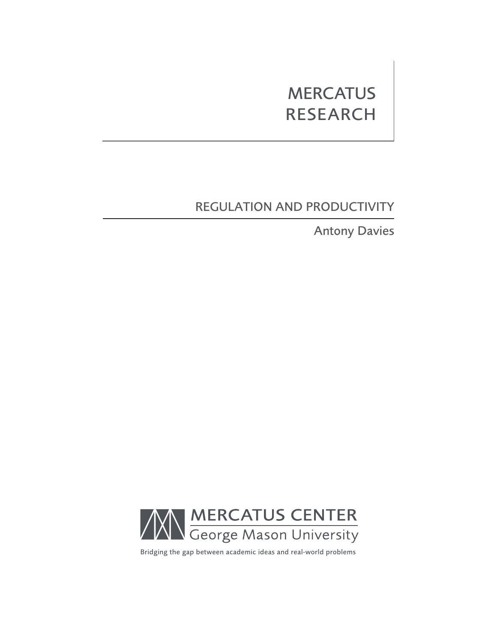# **MERCATUS** RESEARCH

# REGULATION AND PRODUCTIVITY

Antony Davies



Bridging the gap between academic ideas and real-world problems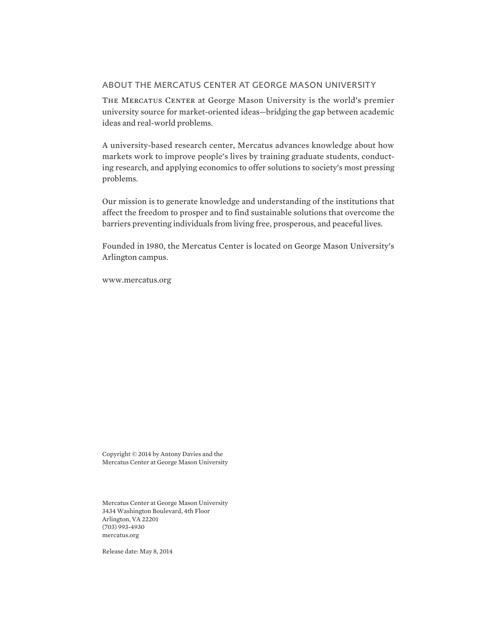### ABOUT THE MERCATUS CENTER AT GEORGE MASON UNIVERSITY

THE MERCATUS CENTER at George Mason University is the world's premier university source for market-oriented ideas—bridging the gap between academic ideas and real-world problems.

A university-based research center, Mercatus advances knowledge about how markets work to improve people's lives by training graduate students, conducting research, and applying economics to offer solutions to society's most pressing problems.

Our mission is to generate knowledge and understanding of the institutions that affect the freedom to prosper and to find sustainable solutions that overcome the barriers preventing individuals from living free, prosperous, and peaceful lives.

Founded in 1980, the Mercatus Center is located on George Mason University's Arlington campus.

[www.mercatus.org](http://mercatus.org/)

Copyright © 2014 by Antony Davies and the Mercatus Center at George Mason University

Mercatus Center at George Mason University 3434 Washington Boulevard, 4th Floor Arlington, VA 22201 (703) 993-4930 [mercatus.org](http://mercatus.org/)

Release date: May 8, 2014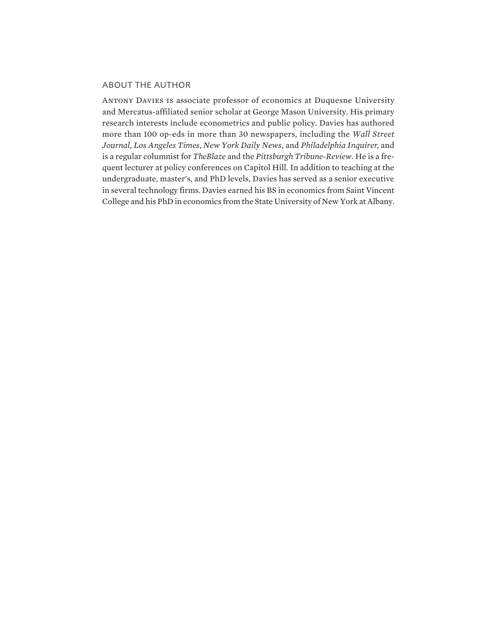### ABOUT THE AUTHOR

Antony Davies is associate professor of economics at Duquesne University and Mercatus-affiliated senior scholar at George Mason University. His primary research interests include econometrics and public policy. Davies has authored more than 100 op-eds in more than 30 newspapers, including the *Wall Street Journal*, *Los Angeles Times*, *New York Daily News*, and *Philadelphia Inquirer*, and is a regular columnist for *TheBlaze* and the *Pittsburgh Tribune-Review*. He is a frequent lecturer at policy conferences on Capitol Hill. In addition to teaching at the undergraduate, master's, and PhD levels, Davies has served as a senior executive in several technology firms. Davies earned his BS in economics from Saint Vincent College and his PhD in economics from the State University of New York at Albany.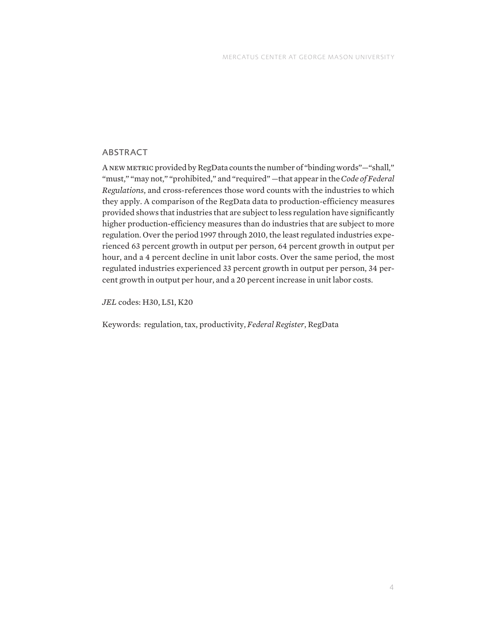## ABSTRACT

A new metric provided by RegData counts the number of "binding words"—"shall," "must," "may not," "prohibited," and "required" —that appear in the *Code of Federal Regulations*, and cross-references those word counts with the industries to which they apply. A comparison of the RegData data to production-efficiency measures provided shows that industries that are subject to less regulation have significantly higher production-efficiency measures than do industries that are subject to more regulation. Over the period 1997 through 2010, the least regulated industries experienced 63 percent growth in output per person, 64 percent growth in output per hour, and a 4 percent decline in unit labor costs. Over the same period, the most regulated industries experienced 33 percent growth in output per person, 34 percent growth in output per hour, and a 20 percent increase in unit labor costs.

*JEL* codes: H30, L51, K20

Keywords: regulation, tax, productivity, *Federal Register*, RegData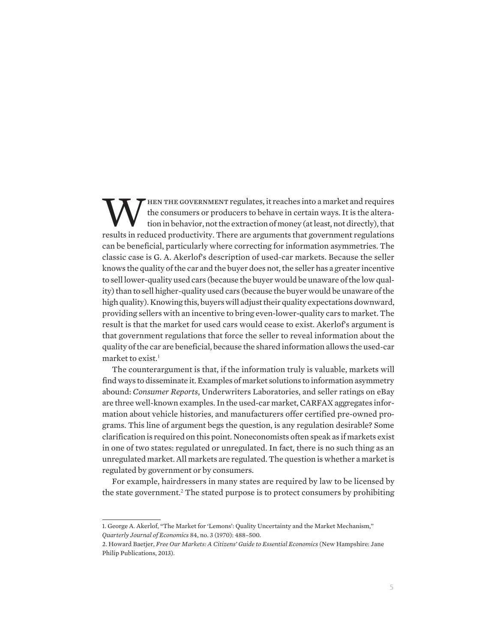THEN THE GOVERNMENT regulates, it reaches into a market and requires<br>tion in behavior, not the extraction of money (at least, not directly), that<br>results in reduced productivity. There are arguments that government regulat the consumers or producers to behave in certain ways. It is the alteration in behavior, not the extraction of money (at least, not directly), that results in reduced productivity. There are arguments that government regulations can be beneficial, particularly where correcting for information asymmetries. The classic case is G. A. Akerlof's description of used-car markets. Because the seller knows the quality of the car and the buyer does not, the seller has a greater incentive to sell lower-quality used cars (because the buyer would be unaware of the low quality) than to sell higher-quality used cars (because the buyer would be unaware of the high quality). Knowing this, buyers will adjust their quality expectations downward, providing sellers with an incentive to bring even-lower-quality cars to market. The result is that the market for used cars would cease to exist. Akerlof's argument is that government regulations that force the seller to reveal information about the quality of the car are beneficial, because the shared information allows the used-car market to exist.<sup>1</sup>

The counterargument is that, if the information truly is valuable, markets will find ways to disseminate it. Examples of market solutions to information asymmetry abound: *Consumer Reports*, Underwriters Laboratories, and seller ratings on eBay are three well-known examples. In the used-car market, CARFAX aggregates information about vehicle histories, and manufacturers offer certified pre-owned programs. This line of argument begs the question, is any regulation desirable? Some clarification is required on this point. Noneconomists often speak as if markets exist in one of two states: regulated or unregulated. In fact, there is no such thing as an unregulated market. All markets are regulated. The question is whether a market is regulated by government or by consumers.

For example, hairdressers in many states are required by law to be licensed by the state government.<sup>2</sup> The stated purpose is to protect consumers by prohibiting

<sup>1.</sup> George A. Akerlof, "The Market for 'Lemons': Quality Uncertainty and the Market Mechanism," *Quarterly Journal of Economics* 84, no. 3 (1970): 488–500.

<sup>2.</sup> Howard Baetjer, *Free Our Markets: A Citizens' Guide to Essential Economics* (New Hampshire: Jane Philip Publications, 2013).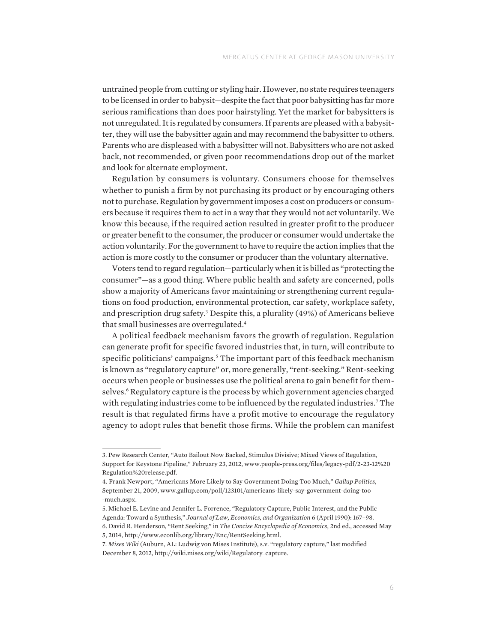untrained people from cutting or styling hair. However, no state requires teenagers to be licensed in order to babysit—despite the fact that poor babysitting has far more serious ramifications than does poor hairstyling. Yet the market for babysitters is not unregulated. It is regulated by consumers. If parents are pleased with a babysitter, they will use the babysitter again and may recommend the babysitter to others. Parents who are displeased with a babysitter will not. Babysitters who are not asked back, not recommended, or given poor recommendations drop out of the market and look for alternate employment.

Regulation by consumers is voluntary. Consumers choose for themselves whether to punish a firm by not purchasing its product or by encouraging others not to purchase. Regulation by government imposes a cost on producers or consumers because it requires them to act in a way that they would not act voluntarily. We know this because, if the required action resulted in greater profit to the producer or greater benefit to the consumer, the producer or consumer would undertake the action voluntarily. For the government to have to require the action implies that the action is more costly to the consumer or producer than the voluntary alternative.

Voters tend to regard regulation—particularly when it is billed as "protecting the consumer"—as a good thing. Where public health and safety are concerned, polls show a majority of Americans favor maintaining or strengthening current regulations on food production, environmental protection, car safety, workplace safety, and prescription drug safety.<sup>3</sup> Despite this, a plurality (49%) of Americans believe that small businesses are overregulated.<sup>4</sup>

A political feedback mechanism favors the growth of regulation. Regulation can generate profit for specific favored industries that, in turn, will contribute to specific politicians' campaigns.<sup>5</sup> The important part of this feedback mechanism is known as "regulatory capture" or, more generally, "rent-seeking." Rent-seeking occurs when people or businesses use the political arena to gain benefit for themselves.<sup>6</sup> Regulatory capture is the process by which government agencies charged with regulating industries come to be influenced by the regulated industries.<sup>7</sup> The result is that regulated firms have a profit motive to encourage the regulatory agency to adopt rules that benefit those firms. While the problem can manifest

<sup>3.</sup> Pew Research Center, "Auto Bailout Now Backed, Stimulus Divisive; Mixed Views of Regulation, Support for Keystone Pipeline," February 23, 2012, [www.people-press.org/files/legacy-pdf/2-23-12%20](www.people-press.org/files/legacy-pdf/2-23-12%20Regulation%20release.pdf) [Regulation%20release.pdf.](www.people-press.org/files/legacy-pdf/2-23-12%20Regulation%20release.pdf)

<sup>4.</sup> Frank Newport, "Americans More Likely to Say Government Doing Too Much," *Gallup Politics*, September 21, 2009, [www.gallup.com/poll/123101/americans-likely-say-government-doing-too](www.gallup.com/poll/123101/americans-likely-say-government-doing-too-much.aspx) [-much.aspx.](www.gallup.com/poll/123101/americans-likely-say-government-doing-too-much.aspx)

<sup>5.</sup> Michael E. Levine and Jennifer L. Forrence, "Regulatory Capture, Public Interest, and the Public Agenda: Toward a Synthesis," *Journal of Law, Economics, and Organization* 6 (April 1990): 167–98.

<sup>6.</sup> David R. Henderson, "Rent Seeking," in *The Concise Encyclopedia of Economics*, 2nd ed., accessed May 5, 2014, [http://www.econlib.org/library/Enc/RentSeeking.html.](http://www.econlib.org/library/Enc/RentSeeking.html)

<sup>7.</sup> *Mises Wiki* (Auburn, AL: Ludwig von Mises Institute), s.v. "regulatory capture," last modified December 8, 2012, [http://wiki.mises.org/wiki/Regulatory\\_capture](http://wiki.mises.org/wiki/Regulatory_capture).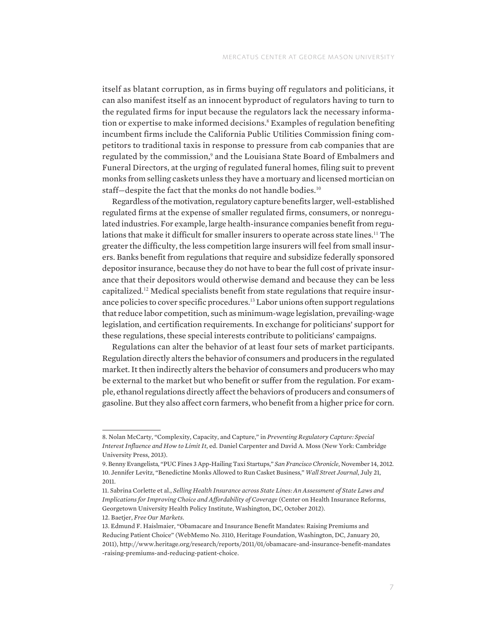itself as blatant corruption, as in firms buying off regulators and politicians, it can also manifest itself as an innocent byproduct of regulators having to turn to the regulated firms for input because the regulators lack the necessary information or expertise to make informed decisions.<sup>8</sup> Examples of regulation benefiting incumbent firms include the California Public Utilities Commission fining competitors to traditional taxis in response to pressure from cab companies that are regulated by the commission,<sup>9</sup> and the Louisiana State Board of Embalmers and Funeral Directors, at the urging of regulated funeral homes, filing suit to prevent monks from selling caskets unless they have a mortuary and licensed mortician on staff-despite the fact that the monks do not handle bodies.<sup>10</sup>

Regardless of the motivation, regulatory capture benefits larger, well-established regulated firms at the expense of smaller regulated firms, consumers, or nonregulated industries. For example, large health-insurance companies benefit from regulations that make it difficult for smaller insurers to operate across state lines.<sup>11</sup> The greater the difficulty, the less competition large insurers will feel from small insurers. Banks benefit from regulations that require and subsidize federally sponsored depositor insurance, because they do not have to bear the full cost of private insurance that their depositors would otherwise demand and because they can be less capitalized.12 Medical specialists benefit from state regulations that require insurance policies to cover specific procedures.<sup>13</sup> Labor unions often support regulations that reduce labor competition, such as minimum-wage legislation, prevailing-wage legislation, and certification requirements. In exchange for politicians' support for these regulations, these special interests contribute to politicians' campaigns.

Regulations can alter the behavior of at least four sets of market participants. Regulation directly alters the behavior of consumers and producers in the regulated market. It then indirectly alters the behavior of consumers and producers who may be external to the market but who benefit or suffer from the regulation. For example, ethanol regulations directly affect the behaviors of producers and consumers of gasoline. But they also affect corn farmers, who benefit from a higher price for corn.

<sup>8.</sup> Nolan McCarty, "Complexity, Capacity, and Capture," in *Preventing Regulatory Capture: Special Interest Influence and How to Limit It*, ed. Daniel Carpenter and David A. Moss (New York: Cambridge University Press, 2013).

<sup>9.</sup> Benny Evangelista, "PUC Fines 3 App-Hailing Taxi Startups," *San Francisco Chronicle*, November 14, 2012. 10. Jennifer Levitz, "Benedictine Monks Allowed to Run Casket Business," *Wall Street Journal*, July 21, 2011.

<sup>11.</sup> Sabrina Corlette et al., *Selling Health Insurance across State Lines: An Assessment of State Laws and Implications for Improving Choice and Affordability of Coverage* (Center on Health Insurance Reforms, Georgetown University Health Policy Institute, Washington, DC, October 2012). 12. Baetjer, *Free Our Markets*.

<sup>13.</sup> Edmund F. Haislmaier, "Obamacare and Insurance Benefit Mandates: Raising Premiums and Reducing Patient Choice" (WebMemo No. 3110, Heritage Foundation, Washington, DC, January 20, 2011), [http://www.heritage.org/research/reports/2011/01/obamacare-and-insurance-benefit-mandates](http://www.heritage.org/research/reports/2011/01/obamacare-and-insurance-benefit-mandates-raising-premiums-and-reducing-patient-choice) [-raising-premiums-and-reducing-patient-choice.](http://www.heritage.org/research/reports/2011/01/obamacare-and-insurance-benefit-mandates-raising-premiums-and-reducing-patient-choice)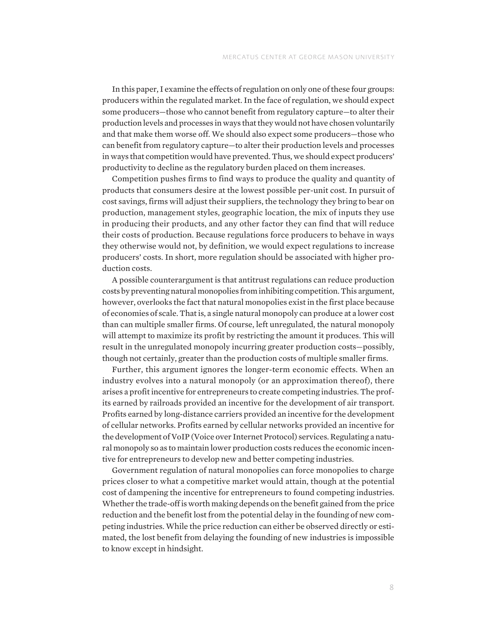In this paper, I examine the effects of regulation on only one of these four groups: producers within the regulated market. In the face of regulation, we should expect some producers—those who cannot benefit from regulatory capture—to alter their production levels and processes in ways that they would not have chosen voluntarily and that make them worse off. We should also expect some producers—those who can benefit from regulatory capture—to alter their production levels and processes in ways that competition would have prevented. Thus, we should expect producers' productivity to decline as the regulatory burden placed on them increases.

Competition pushes firms to find ways to produce the quality and quantity of products that consumers desire at the lowest possible per-unit cost. In pursuit of cost savings, firms will adjust their suppliers, the technology they bring to bear on production, management styles, geographic location, the mix of inputs they use in producing their products, and any other factor they can find that will reduce their costs of production. Because regulations force producers to behave in ways they otherwise would not, by definition, we would expect regulations to increase producers' costs. In short, more regulation should be associated with higher production costs.

A possible counterargument is that antitrust regulations can reduce production costs by preventing natural monopolies from inhibiting competition. This argument, however, overlooks the fact that natural monopolies exist in the first place because of economies of scale. That is, a single natural monopoly can produce at a lower cost than can multiple smaller firms. Of course, left unregulated, the natural monopoly will attempt to maximize its profit by restricting the amount it produces. This will result in the unregulated monopoly incurring greater production costs—possibly, though not certainly, greater than the production costs of multiple smaller firms.

Further, this argument ignores the longer-term economic effects. When an industry evolves into a natural monopoly (or an approximation thereof), there arises a profit incentive for entrepreneurs to create competing industries. The profits earned by railroads provided an incentive for the development of air transport. Profits earned by long-distance carriers provided an incentive for the development of cellular networks. Profits earned by cellular networks provided an incentive for the development of VoIP (Voice over Internet Protocol) services. Regulating a natural monopoly so as to maintain lower production costs reduces the economic incentive for entrepreneurs to develop new and better competing industries.

Government regulation of natural monopolies can force monopolies to charge prices closer to what a competitive market would attain, though at the potential cost of dampening the incentive for entrepreneurs to found competing industries. Whether the trade-off is worth making depends on the benefit gained from the price reduction and the benefit lost from the potential delay in the founding of new competing industries. While the price reduction can either be observed directly or estimated, the lost benefit from delaying the founding of new industries is impossible to know except in hindsight.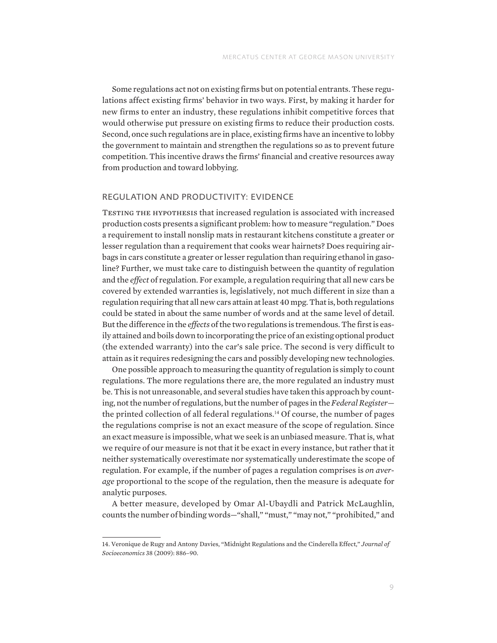Some regulations act not on existing firms but on potential entrants. These regulations affect existing firms' behavior in two ways. First, by making it harder for new firms to enter an industry, these regulations inhibit competitive forces that would otherwise put pressure on existing firms to reduce their production costs. Second, once such regulations are in place, existing firms have an incentive to lobby the government to maintain and strengthen the regulations so as to prevent future competition. This incentive draws the firms' financial and creative resources away from production and toward lobbying.

#### REGULATION AND PRODUCTIVITY: EVIDENCE

TESTING THE HYPOTHESIS that increased regulation is associated with increased production costs presents a significant problem: how to measure "regulation." Does a requirement to install nonslip mats in restaurant kitchens constitute a greater or lesser regulation than a requirement that cooks wear hairnets? Does requiring airbags in cars constitute a greater or lesser regulation than requiring ethanol in gasoline? Further, we must take care to distinguish between the quantity of regulation and the *effect* of regulation. For example, a regulation requiring that all new cars be covered by extended warranties is, legislatively, not much different in size than a regulation requiring that all new cars attain at least 40 mpg. That is, both regulations could be stated in about the same number of words and at the same level of detail. But the difference in the *effects* of the two regulations is tremendous. The first is easily attained and boils down to incorporating the price of an existing optional product (the extended warranty) into the car's sale price. The second is very difficult to attain as it requires redesigning the cars and possibly developing new technologies.

One possible approach to measuring the quantity of regulation is simply to count regulations. The more regulations there are, the more regulated an industry must be. This is not unreasonable, and several studies have taken this approach by counting, not the number of regulations, but the number of pages in the *Federal Register* the printed collection of all federal regulations.<sup>14</sup> Of course, the number of pages the regulations comprise is not an exact measure of the scope of regulation. Since an exact measure is impossible, what we seek is an unbiased measure. That is, what we require of our measure is not that it be exact in every instance, but rather that it neither systematically overestimate nor systematically underestimate the scope of regulation. For example, if the number of pages a regulation comprises is *on average* proportional to the scope of the regulation, then the measure is adequate for analytic purposes.

A better measure, developed by Omar Al-Ubaydli and Patrick McLaughlin, counts the number of binding words—"shall," "must," "may not," "prohibited," and

<sup>14.</sup> Veronique de Rugy and Antony Davies, "Midnight Regulations and the Cinderella Effect," *Journal of Socioeconomics* 38 (2009): 886–90.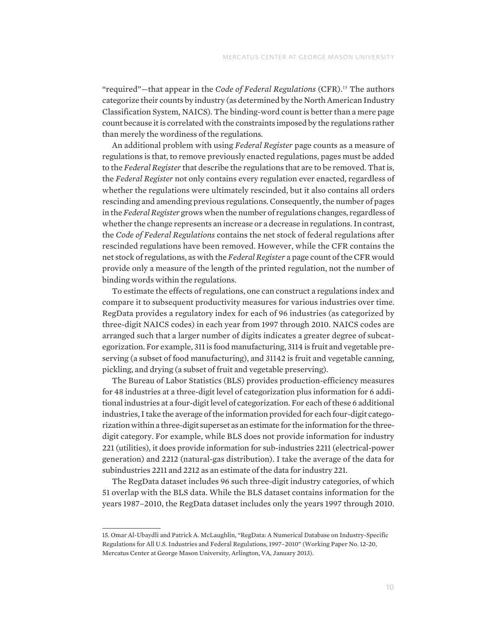"required"—that appear in the *Code of Federal Regulations* (CFR).<sup>15</sup> The authors categorize their counts by industry (as determined by the North American Industry Classification System, NAICS). The binding-word count is better than a mere page count because it is correlated with the constraints imposed by the regulations rather than merely the wordiness of the regulations.

An additional problem with using *Federal Register* page counts as a measure of regulations is that, to remove previously enacted regulations, pages must be added to the *Federal Register* that describe the regulations that are to be removed. That is, the *Federal Register* not only contains every regulation ever enacted, regardless of whether the regulations were ultimately rescinded, but it also contains all orders rescinding and amending previous regulations. Consequently, the number of pages in the *Federal Register* grows when the number of regulations changes, regardless of whether the change represents an increase or a decrease in regulations. In contrast, the *Code of Federal Regulations* contains the net stock of federal regulations after rescinded regulations have been removed. However, while the CFR contains the net stock of regulations, as with the *Federal Register* a page count of the CFR would provide only a measure of the length of the printed regulation, not the number of binding words within the regulations.

To estimate the effects of regulations, one can construct a regulations index and compare it to subsequent productivity measures for various industries over time. RegData provides a regulatory index for each of 96 industries (as categorized by three-digit NAICS codes) in each year from 1997 through 2010. NAICS codes are arranged such that a larger number of digits indicates a greater degree of subcategorization. For example, 311 is food manufacturing, 3114 is fruit and vegetable preserving (a subset of food manufacturing), and 31142 is fruit and vegetable canning, pickling, and drying (a subset of fruit and vegetable preserving).

The Bureau of Labor Statistics (BLS) provides production-efficiency measures for 48 industries at a three-digit level of categorization plus information for 6 additional industries at a four-digit level of categorization. For each of these 6 additional industries, I take the average of the information provided for each four-digit categorization within a three-digit superset as an estimate for the information for the threedigit category. For example, while BLS does not provide information for industry 221 (utilities), it does provide information for sub-industries 2211 (electrical-power generation) and 2212 (natural-gas distribution). I take the average of the data for subindustries 2211 and 2212 as an estimate of the data for industry 221.

The RegData dataset includes 96 such three-digit industry categories, of which 51 overlap with the BLS data. While the BLS dataset contains information for the years 1987–2010, the RegData dataset includes only the years 1997 through 2010.

<sup>15.</sup> Omar Al-Ubaydli and Patrick A. McLaughlin, "RegData: A Numerical Database on Industry-Specific Regulations for All U.S. Industries and Federal Regulations, 1997–2010" (Working Paper No. 12-20, Mercatus Center at George Mason University, Arlington, VA, January 2013).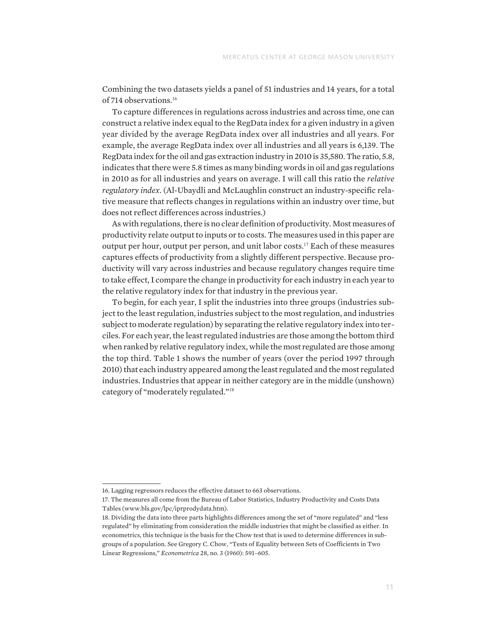Combining the two datasets yields a panel of 51 industries and 14 years, for a total of 714 observations.<sup>16</sup>

To capture differences in regulations across industries and across time, one can construct a relative index equal to the RegData index for a given industry in a given year divided by the average RegData index over all industries and all years. For example, the average RegData index over all industries and all years is 6,139. The RegData index for the oil and gas extraction industry in 2010 is 35,580. The ratio, 5.8, indicates that there were 5.8 times as many binding words in oil and gas regulations in 2010 as for all industries and years on average. I will call this ratio the *relative regulatory index*. (Al-Ubaydli and McLaughlin construct an industry-specific relative measure that reflects changes in regulations within an industry over time, but does not reflect differences across industries.)

As with regulations, there is no clear definition of productivity. Most measures of productivity relate output to inputs or to costs. The measures used in this paper are output per hour, output per person, and unit labor costs.<sup>17</sup> Each of these measures captures effects of productivity from a slightly different perspective. Because productivity will vary across industries and because regulatory changes require time to take effect, I compare the change in productivity for each industry in each year to the relative regulatory index for that industry in the previous year.

To begin, for each year, I split the industries into three groups (industries subject to the least regulation, industries subject to the most regulation, and industries subject to moderate regulation) by separating the relative regulatory index into terciles. For each year, the least regulated industries are those among the bottom third when ranked by relative regulatory index, while the most regulated are those among the top third. Table 1 shows the number of years (over the period 1997 through 2010) that each industry appeared among the least regulated and the most regulated industries. Industries that appear in neither category are in the middle (unshown) category of "moderately regulated."<sup>18</sup>

<sup>16.</sup> Lagging regressors reduces the effective dataset to 663 observations.

<sup>17.</sup> The measures all come from the Bureau of Labor Statistics, Industry Productivity and Costs Data Tables [\(www.bls.gov/lpc/iprprodydata.htm]((www.bls.gov/lpc/iprprodydata.htm)).

<sup>18.</sup> Dividing the data into three parts highlights differences among the set of "more regulated" and "less regulated" by eliminating from consideration the middle industries that might be classified as either. In econometrics, this technique is the basis for the Chow test that is used to determine differences in subgroups of a population. See Gregory C. Chow, "Tests of Equality between Sets of Coefficients in Two Linear Regressions," *Econometrica* 28, no. 3 (1960): 591–605.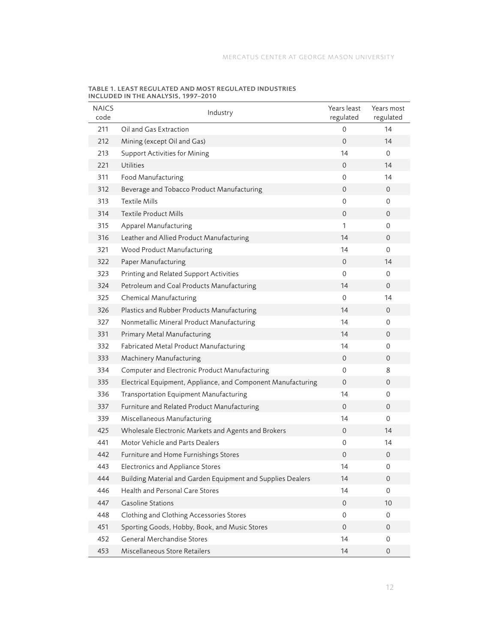| <b>NAICS</b><br>code | Industry                                                     | Years least<br>regulated | Years most<br>regulated |
|----------------------|--------------------------------------------------------------|--------------------------|-------------------------|
| 211                  | Oil and Gas Extraction                                       | 0                        | 14                      |
| 212                  | Mining (except Oil and Gas)                                  | $\overline{O}$           | 14                      |
| 213                  | <b>Support Activities for Mining</b>                         | 14                       | $\Omega$                |
| 221                  | <b>Utilities</b>                                             | $\overline{0}$           | 14                      |
| 311                  | Food Manufacturing                                           | $\mathbf{0}$             | 14                      |
| 312                  | Beverage and Tobacco Product Manufacturing                   | $\overline{0}$           | 0                       |
| 313                  | <b>Textile Mills</b>                                         | 0                        | 0                       |
| 314                  | <b>Textile Product Mills</b>                                 | $\overline{O}$           | 0                       |
| 315                  | Apparel Manufacturing                                        | 1                        | 0                       |
| 316                  | Leather and Allied Product Manufacturing                     | 14                       | 0                       |
| 321                  | Wood Product Manufacturing                                   | 14                       | 0                       |
| 322                  | Paper Manufacturing                                          | $\overline{0}$           | 14                      |
| 323                  | Printing and Related Support Activities                      | 0                        | 0                       |
| 324                  | Petroleum and Coal Products Manufacturing                    | 14                       | $\mathbf{0}$            |
| 325                  | Chemical Manufacturing                                       | 0                        | 14                      |
| 326                  | Plastics and Rubber Products Manufacturing                   | 14                       | $\mathbf{0}$            |
| 327                  | Nonmetallic Mineral Product Manufacturing                    | 14                       | 0                       |
| 331                  | Primary Metal Manufacturing                                  | 14                       | 0                       |
| 332                  | Fabricated Metal Product Manufacturing                       | 14                       | 0                       |
| 333                  | Machinery Manufacturing                                      | $\mathbf 0$              | 0                       |
| 334                  | Computer and Electronic Product Manufacturing                | 0                        | 8                       |
| 335                  | Electrical Equipment, Appliance, and Component Manufacturing | $\overline{0}$           | $\mathbf{0}$            |
| 336                  | Transportation Equipment Manufacturing                       | 14                       | 0                       |
| 337                  | Furniture and Related Product Manufacturing                  | $\overline{0}$           | 0                       |
| 339                  | Miscellaneous Manufacturing                                  | 14                       | 0                       |
| 425                  | Wholesale Electronic Markets and Agents and Brokers          | $\overline{0}$           | 14                      |
| 441                  | Motor Vehicle and Parts Dealers                              | 0                        | 14                      |
| 442                  | Furniture and Home Furnishings Stores                        | 0                        | 0                       |
| 443                  | Electronics and Appliance Stores                             | 14                       | 0                       |
| 444                  | Building Material and Garden Equipment and Supplies Dealers  | 14                       | $\mathbf 0$             |
| 446                  | Health and Personal Care Stores                              | 14                       | 0                       |
| 447                  | <b>Gasoline Stations</b>                                     | $\mathbf 0$              | 10                      |
| 448                  | Clothing and Clothing Accessories Stores                     | 0                        | 0                       |
| 451                  | Sporting Goods, Hobby, Book, and Music Stores                | 0                        | 0                       |
| 452                  | General Merchandise Stores                                   | 14                       | 0                       |
| 453                  | Miscellaneous Store Retailers                                | 14                       | 0                       |

TABLE 1. LEAST REGULATED AND MOST REGULATED INDUSTRIES INCLUDED IN THE ANALYSIS, 1997–2010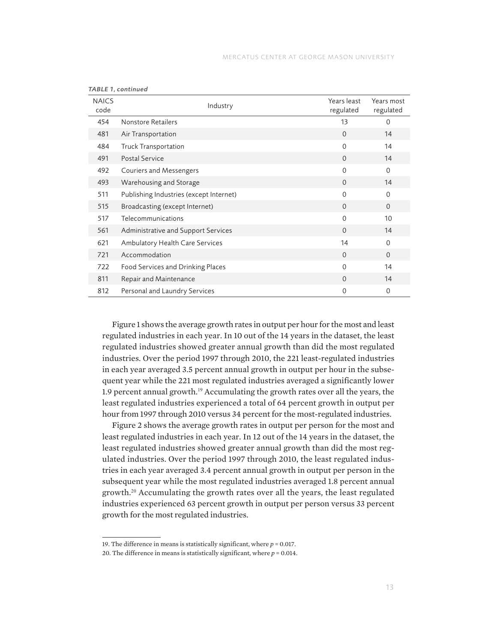| <b>NAICS</b><br>code | Industry                                | Years least<br>regulated | Years most<br>regulated |
|----------------------|-----------------------------------------|--------------------------|-------------------------|
| 454                  | Nonstore Retailers                      | 13                       | $\Omega$                |
| 481                  | Air Transportation                      | $\Omega$                 | 14                      |
| 484                  | Truck Transportation                    | $\Omega$                 | 14                      |
| 491                  | <b>Postal Service</b>                   | $\Omega$                 | 14                      |
| 492                  | Couriers and Messengers                 | $\mathbf{0}$             | $\mathbf{0}$            |
| 493                  | Warehousing and Storage                 | $\Omega$                 | 14                      |
| 511                  | Publishing Industries (except Internet) | $\Omega$                 | $\mathbf 0$             |
| 515                  | Broadcasting (except Internet)          | $\Omega$                 | $\overline{0}$          |
| 517                  | Telecommunications                      | $\Omega$                 | 10                      |
| 561                  | Administrative and Support Services     | $\Omega$                 | 14                      |
| 621                  | Ambulatory Health Care Services         | 14                       | $\mathbf 0$             |
| 721                  | Accommodation                           | $\Omega$                 | $\overline{0}$          |
| 722                  | Food Services and Drinking Places       | $\Omega$                 | 14                      |
| 811                  | Repair and Maintenance                  | $\Omega$                 | 14                      |
| 812                  | Personal and Laundry Services           | $\mathbf 0$              | $\mathbf 0$             |

*TABLE 1, continued*

Figure 1 shows the average growth rates in output per hour for the most and least regulated industries in each year. In 10 out of the 14 years in the dataset, the least regulated industries showed greater annual growth than did the most regulated industries. Over the period 1997 through 2010, the 221 least-regulated industries in each year averaged 3.5 percent annual growth in output per hour in the subsequent year while the 221 most regulated industries averaged a significantly lower 1.9 percent annual growth.<sup>19</sup> Accumulating the growth rates over all the years, the least regulated industries experienced a total of 64 percent growth in output per hour from 1997 through 2010 versus 34 percent for the most-regulated industries.

Figure 2 shows the average growth rates in output per person for the most and least regulated industries in each year. In 12 out of the 14 years in the dataset, the least regulated industries showed greater annual growth than did the most regulated industries. Over the period 1997 through 2010, the least regulated industries in each year averaged 3.4 percent annual growth in output per person in the subsequent year while the most regulated industries averaged 1.8 percent annual growth.<sup>20</sup> Accumulating the growth rates over all the years, the least regulated industries experienced 63 percent growth in output per person versus 33 percent growth for the most regulated industries.

<sup>19.</sup> The difference in means is statistically significant, where *p* = 0.017.

<sup>20.</sup> The difference in means is statistically significant, where *p* = 0.014.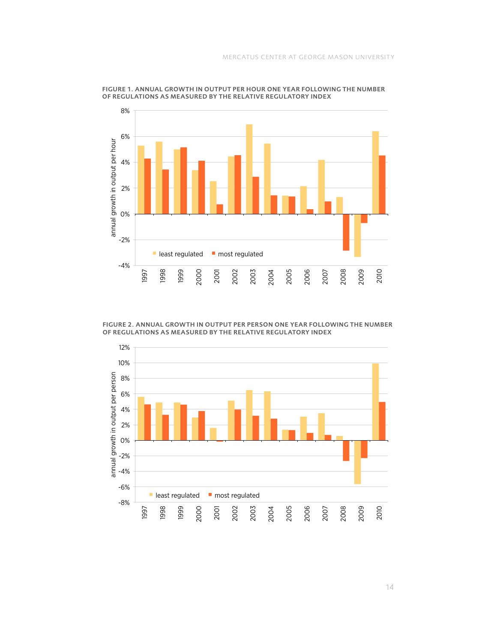

FIGURE 1. ANNUAL GROWTH IN OUTPUT PER HOUR ONE YEAR FOLLOWING THE NUMBER OF REGULATIONS AS MEASURED BY THE RELATIVE REGULATORY INDEX

FIGURE 2. ANNUAL GROWTH IN OUTPUT PER PERSON ONE YEAR FOLLOWING THE NUMBER OF REGULATIONS AS MEASURED BY THE RELATIVE REGULATORY INDEX

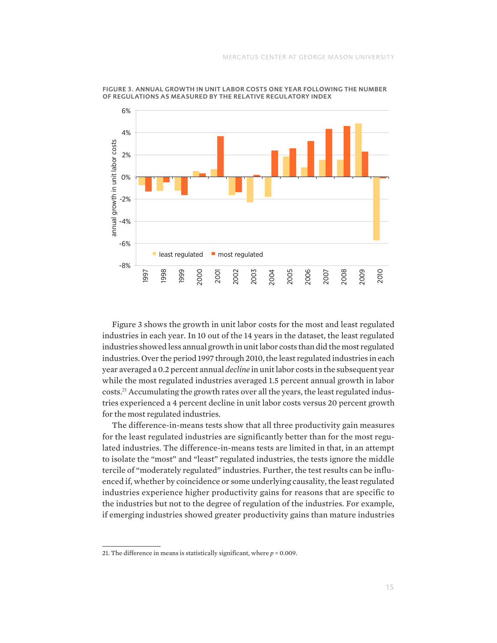

FIGURE 3. ANNUAL GROWTH IN UNIT LABOR COSTS ONE YEAR FOLLOWING THE NUMBER OF REGULATIONS AS MEASURED BY THE RELATIVE REGULATORY INDEX

Figure 3 shows the growth in unit labor costs for the most and least regulated industries in each year. In 10 out of the 14 years in the dataset, the least regulated industries showed less annual growth in unit labor costs than did the most regulated industries. Over the period 1997 through 2010, the least regulated industries in each year averaged a 0.2 percent annual *decline* in unit labor costs in the subsequent year while the most regulated industries averaged 1.5 percent annual growth in labor costs.21 Accumulating the growth rates over all the years, the least regulated industries experienced a 4 percent decline in unit labor costs versus 20 percent growth for the most regulated industries.

The difference-in-means tests show that all three productivity gain measures for the least regulated industries are significantly better than for the most regulated industries. The difference-in-means tests are limited in that, in an attempt to isolate the "most" and "least" regulated industries, the tests ignore the middle tercile of "moderately regulated" industries. Further, the test results can be influenced if, whether by coincidence or some underlying causality, the least regulated industries experience higher productivity gains for reasons that are specific to the industries but not to the degree of regulation of the industries. For example, if emerging industries showed greater productivity gains than mature industries

<sup>21.</sup> The difference in means is statistically significant, where *p* = 0.009.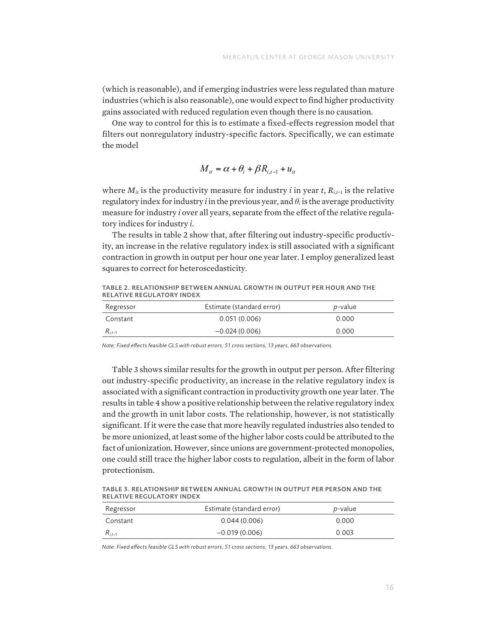(which is reasonable), and if emerging industries were less regulated than mature industries (which is also reasonable), one would expect to find higher productivity gains associated with reduced regulation even though there is no causation.

One way to control for this is to estimate a fixed-effects regression model that filters out nonregulatory industry-specific factors. Specifically, we can estimate the model

$$
M_{it} = \alpha + \theta_i + \beta R_{i,t-1} + u_{it}
$$

where *M<sub>it</sub>* is the productivity measure for industry *i* in year *t*, *R<sub>it-1</sub>* is the relative regulatory index for industry *i* in the previous year, and  $\theta_i$  is the average productivity measure for industry *i* over all years, separate from the effect of the relative regulafor industry *i* in the previous year, and  $\alpha$  is the average productivity measure for industry *i*.

The results in table 2 show that, after filtering out industry-specific productivity, an increase in the relative regulatory index is still associated with a significant contraction in growth in output per hour one year later. I employ generalized least squares to correct for heteroscedasticity.

TABLE 2. RELATIONSHIP BETWEEN ANNUAL GROWTH IN OUTPUT PER HOUR AND THE RELATIVE REGULATORY INDEX

| Regressor   | Estimate (standard error) | <i>p</i> -value |
|-------------|---------------------------|-----------------|
| Constant    | 0.051(0.006)              | 0.000           |
| $R_{i,t-1}$ | $-0.024(0.006)$           | 0.000           |

*Note: Fixed effects feasible GLS with robust errors, 51 cross sections, 13 years, 663 observations.* 

Table 3 shows similar results for the growth in output per person. After filtering rative *b* shows shimal results for the growth in output per person, their intering out industry-specific productivity, an increase in the relative regulatory index is associated with a significant contraction in productivity growth one year later. The **Registrationship between the relative regulatory index** results in table 4 show a positive relationship between the relative regulatory index and the growth in unit labor costs. The relationship, however, is not statistically and the growth in time have costor. The relationship, nowever, is not statistically significant. If it were the case that more heavily regulated industries also tended to be more unionized, at least some of the higher labor costs could be attributed to the fact of unionization. However, since unions are government-protected monopolies, one could still trace the higher labor costs to regulation, albeit in the form of labor protectionism.

TABLE 3. RELATIONSHIP BETWEEN ANNUAL GROWTH IN OUTPUT PER PERSON AND THE RELATIVE REGULATORY INDEX

| Regressor        | Estimate (standard error) | p-value |
|------------------|---------------------------|---------|
| Constant         | 0.044(0.006)              | 0.000   |
| $\kappa_{i,t-1}$ | $-0.019(0.006)$           | 0.003   |

Note: Fixed effects feasible GLS with robust errors, 51 cross sections, 13 years, 663 observations.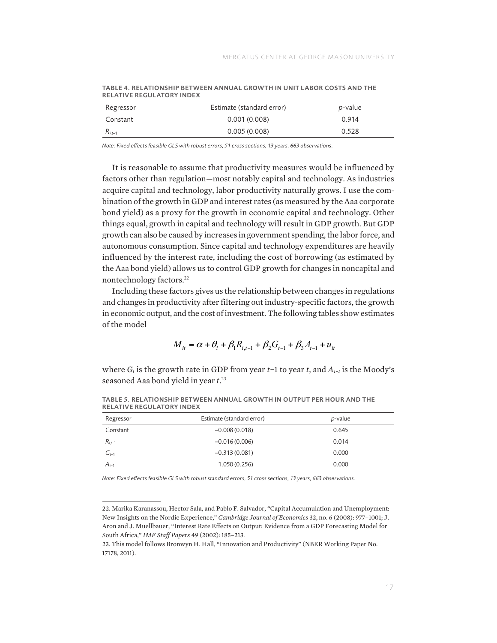| Regressor   | Estimate (standard error) | <i>p</i> -value |
|-------------|---------------------------|-----------------|
| Constant    | 0.001(0.008)              | 0.914           |
| $R_{i.t-1}$ | 0.005(0.008)              | 0.528           |

TABLE 4. RELATIONSHIP BETWEEN ANNUAL GROWTH IN UNIT LABOR COSTS AND THE RELATIVE REGULATORY INDEX

*Note: Fixed effects feasible GLS with robust errors, 51 cross sections, 13 years, 663 observations.*

It is reasonable to assume that productivity measures would be influenced by factors other than regulation—most notably capital and technology. As industries acquire capital and technology, labor productivity naturally grows. I use the combination of the growth in GDP and interest rates (as measured by the Aaa corporate bond yield) as a proxy for the growth in economic capital and technology. Other things equal, growth in capital and technology will result in GDP growth. But GDP growth can also be caused by increases in government spending, the labor force, and autonomous consumption. Since capital and technology expenditures are heavily influenced by the interest rate, including the cost of borrowing (as estimated by the Aaa bond yield) allows us to control GDP growth for changes in noncapital and nontechnology factors.<sup>22</sup>

Including these factors gives us the relationship between changes in regulations and changes in productivity after filtering out industry-specific factors, the growth in economic output, and the cost of investment. The following tables show estimates of the model

$$
M_{it} = \alpha + \theta_i + \beta_1 R_{i,t-1} + \beta_2 G_{t-1} + \beta_3 A_{t-1} + u_{it}
$$

where *Gt* is the growth rate in GDP from year *t*−1 to year *t*, and *At*−*1* is the Moody's seasoned Aaa bond yield in year *t*.<sup>23</sup>

| Regressor   | Estimate (standard error) | <i>p</i> -value |  |
|-------------|---------------------------|-----------------|--|
| Constant    | $-0.008(0.018)$           | 0.645           |  |
| $R_{i,t-1}$ | $-0.016(0.006)$           | 0.014           |  |
| $G_{t-1}$   | $-0.313(0.081)$           | 0.000           |  |
| $A_{t-1}$   | 1.050(0.256)              | 0.000           |  |

TABLE 5. RELATIONSHIP BETWEEN ANNUAL GROWTH IN OUTPUT PER HOUR AND THE RELATIVE REGULATORY INDEX

-<br>Note: Fixed effects feasible GLS with robust standard errors, 51 cross sections, 13 years, 663 observations. **Regression Community Community Property Community**  $\mathcal{L}_{\mathcal{L}}$ 

<sup>22.</sup> Marika Karanassou, Hector Sala, and Pablo F. Salvador, "Capital Accumulation and Unemployment: *Ri,t*−1 −0.016 
(0.006) 0.014 New Insights on the Nordic Experience," *Cambridge Journal of Economics* 32, no. 6 (2008): 977–1001; J. Aron and J. Muellbauer, "Interest Rate Effects on Output: Evidence from a GDP Forecasting Model for<br>Sauth Africa *ii IME Staff Danum 1*.0 (2003), 195, 212 South Africa," *IMF Staff Papers* 49 (2002): 185–213.

odum Annea, Than Bagg a apers 19 (2002), 100–210.<br>23. This model follows Bronwyn H. Hall, "Innovation and Productivity" (NBER Working Paper No. 17178, 2011).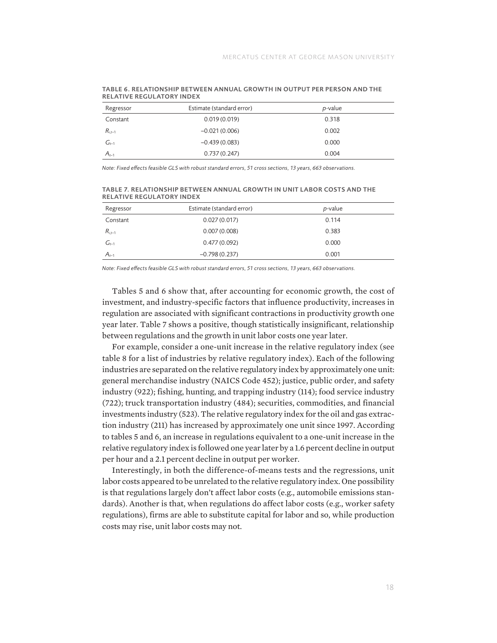| Regressor   | Estimate (standard error) | <i>p</i> -value |  |
|-------------|---------------------------|-----------------|--|
| Constant    | 0.019(0.019)              | 0.318           |  |
| $R_{i,t-1}$ | $-0.021(0.006)$           | 0.002           |  |
| $G_{t-1}$   | $-0.439(0.083)$           | 0.000           |  |
| $A_{t-1}$   | 0.737(0.247)              | 0.004           |  |

TABLE 6. RELATIONSHIP BETWEEN ANNUAL GROWTH IN OUTPUT PER PERSON AND THE RELATIVE REGULATORY INDEX

*Note: Fixed effects feasible GLS with robust standard errors, 51 cross sections, 13 years, 663 observations.*

TABLE 7. RELATIONSHIP BETWEEN ANNUAL GROWTH IN UNIT LABOR COSTS AND THE RELATIVE REGULATORY INDEX

| Regressor   | Estimate (standard error) | <i>p</i> -value |
|-------------|---------------------------|-----------------|
| Constant    | 0.027(0.017)              | 0.114           |
| $R_{i,t-1}$ | 0.007(0.008)              | 0.383           |
| $G_{t-1}$   | 0.477(0.092)              | 0.000           |
| $A_{t-1}$   | $-0.798(0.237)$           | 0.001           |

*Note: Fixed effects feasible GLS with robust standard errors, 51 cross sections, 13 years, 663 observations.*

Tables 5 and 6 show that, after accounting for economic growth, the cost of investment, and industry-specific factors that influence productivity, increases in regulation are associated with significant contractions in productivity growth one year later. Table 7 shows a positive, though statistically insignificant, relationship between regulations and the growth in unit labor costs one year later.

For example, consider a one-unit increase in the relative regulatory index (see table 8 for a list of industries by relative regulatory index). Each of the following industries are separated on the relative regulatory index by approximately one unit: general merchandise industry (NAICS Code 452); justice, public order, and safety industry (922); fishing, hunting, and trapping industry (114); food service industry (722); truck transportation industry (484); securities, commodities, and financial investments industry (523). The relative regulatory index for the oil and gas extraction industry (211) has increased by approximately one unit since 1997. According to tables 5 and 6, an increase in regulations equivalent to a one-unit increase in the relative regulatory index is followed one year later by a 1.6 percent decline in output per hour and a 2.1 percent decline in output per worker.

Interestingly, in both the difference-of-means tests and the regressions, unit labor costs appeared to be unrelated to the relative regulatory index. One possibility is that regulations largely don't affect labor costs (e.g., automobile emissions standards). Another is that, when regulations do affect labor costs (e.g., worker safety regulations), firms are able to substitute capital for labor and so, while production costs may rise, unit labor costs may not.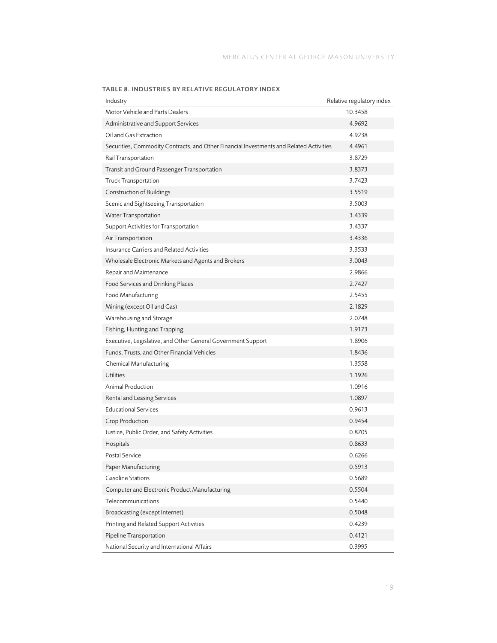| Industry                                                                                | Relative regulatory index |
|-----------------------------------------------------------------------------------------|---------------------------|
| Motor Vehicle and Parts Dealers                                                         | 10.3458                   |
| Administrative and Support Services                                                     | 4.9692                    |
| Oil and Gas Extraction                                                                  | 4.9238                    |
| Securities, Commodity Contracts, and Other Financial Investments and Related Activities | 4.4961                    |
| Rail Transportation                                                                     | 3.8729                    |
| Transit and Ground Passenger Transportation                                             | 3.8373                    |
| <b>Truck Transportation</b>                                                             | 3.7423                    |
| Construction of Buildings                                                               | 3.5519                    |
| Scenic and Sightseeing Transportation                                                   | 3.5003                    |
| <b>Water Transportation</b>                                                             | 3.4339                    |
| Support Activities for Transportation                                                   | 3.4337                    |
| Air Transportation                                                                      | 3.4336                    |
| Insurance Carriers and Related Activities                                               | 3.3533                    |
| Wholesale Electronic Markets and Agents and Brokers                                     | 3.0043                    |
| Repair and Maintenance                                                                  | 2.9866                    |
| Food Services and Drinking Places                                                       | 2.7427                    |
| Food Manufacturing                                                                      | 2.5455                    |
| Mining (except Oil and Gas)                                                             | 2.1829                    |
| Warehousing and Storage                                                                 | 2.0748                    |
| Fishing, Hunting and Trapping                                                           | 1.9173                    |
| Executive, Legislative, and Other General Government Support                            | 1.8906                    |
| Funds, Trusts, and Other Financial Vehicles                                             | 1.8436                    |
| Chemical Manufacturing                                                                  | 1.3558                    |
| <b>Utilities</b>                                                                        | 1.1926                    |
| Animal Production                                                                       | 1.0916                    |
| Rental and Leasing Services                                                             | 1.0897                    |
| <b>Educational Services</b>                                                             | 0.9613                    |
| Crop Production                                                                         | 0.9454                    |
| Justice, Public Order, and Safety Activities                                            | 0.8705                    |
| Hospitals                                                                               | 0.8633                    |
| <b>Postal Service</b>                                                                   | 0.6266                    |
| Paper Manufacturing                                                                     | 0.5913                    |
| <b>Gasoline Stations</b>                                                                | 0.5689                    |
| Computer and Electronic Product Manufacturing                                           | 0.5504                    |
| Telecommunications                                                                      | 0.5440                    |
| Broadcasting (except Internet)                                                          | 0.5048                    |
| Printing and Related Support Activities                                                 | 0.4239                    |
| Pipeline Transportation                                                                 | 0.4121                    |
| National Security and International Affairs                                             | 0.3995                    |

TABLE 8. INDUSTRIES BY RELATIVE REGULATORY INDEX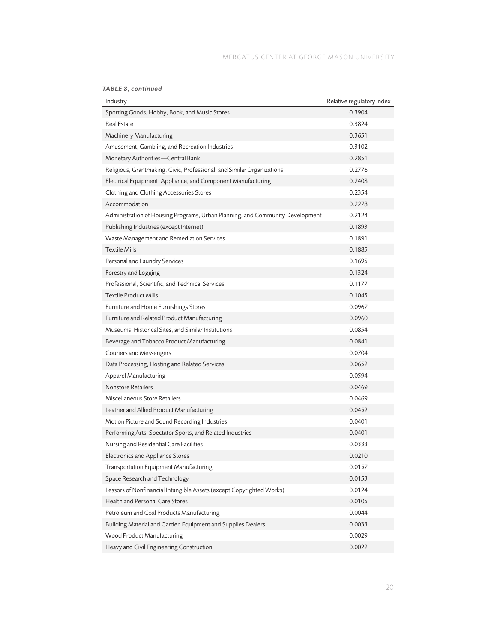| <b>TABLE 8, continued</b> |  |  |  |  |  |
|---------------------------|--|--|--|--|--|
|                           |  |  |  |  |  |

| TABLE 8, continued                                                            |                           |
|-------------------------------------------------------------------------------|---------------------------|
| Industry                                                                      | Relative regulatory index |
| Sporting Goods, Hobby, Book, and Music Stores                                 | 0.3904                    |
| <b>Real Estate</b>                                                            | 0.3824                    |
| Machinery Manufacturing                                                       | 0.3651                    |
| Amusement, Gambling, and Recreation Industries                                | 0.3102                    |
| Monetary Authorities-Central Bank                                             | 0.2851                    |
| Religious, Grantmaking, Civic, Professional, and Similar Organizations        | 0.2776                    |
| Electrical Equipment, Appliance, and Component Manufacturing                  | 0.2408                    |
| Clothing and Clothing Accessories Stores                                      | 0.2354                    |
| Accommodation                                                                 | 0.2278                    |
| Administration of Housing Programs, Urban Planning, and Community Development | 0.2124                    |
| Publishing Industries (except Internet)                                       | 0.1893                    |
| Waste Management and Remediation Services                                     | 0.1891                    |
| <b>Textile Mills</b>                                                          | 0.1885                    |
| Personal and Laundry Services                                                 | 0.1695                    |
| Forestry and Logging                                                          | 0.1324                    |
| Professional, Scientific, and Technical Services                              | 0.1177                    |
| <b>Textile Product Mills</b>                                                  | 0.1045                    |
| Furniture and Home Furnishings Stores                                         | 0.0967                    |
| Furniture and Related Product Manufacturing                                   | 0.0960                    |
| Museums, Historical Sites, and Similar Institutions                           | 0.0854                    |
| Beverage and Tobacco Product Manufacturing                                    | 0.0841                    |
| Couriers and Messengers                                                       | 0.0704                    |
| Data Processing, Hosting and Related Services                                 | 0.0652                    |
| Apparel Manufacturing                                                         | 0.0594                    |
| <b>Nonstore Retailers</b>                                                     | 0.0469                    |
| Miscellaneous Store Retailers                                                 | 0.0469                    |
| Leather and Allied Product Manufacturing                                      | 0.0452                    |
| Motion Picture and Sound Recording Industries                                 | 0.0401                    |
| Performing Arts, Spectator Sports, and Related Industries                     | 0.0401                    |
| Nursing and Residential Care Facilities                                       | 0.0333                    |
| Electronics and Appliance Stores                                              | 0.0210                    |
| Transportation Equipment Manufacturing                                        | 0.0157                    |
| Space Research and Technology                                                 | 0.0153                    |
| Lessors of Nonfinancial Intangible Assets (except Copyrighted Works)          | 0.0124                    |
| Health and Personal Care Stores                                               | 0.0105                    |
| Petroleum and Coal Products Manufacturing                                     | 0.0044                    |
| Building Material and Garden Equipment and Supplies Dealers                   | 0.0033                    |
| Wood Product Manufacturing                                                    | 0.0029                    |
| Heavy and Civil Engineering Construction                                      | 0.0022                    |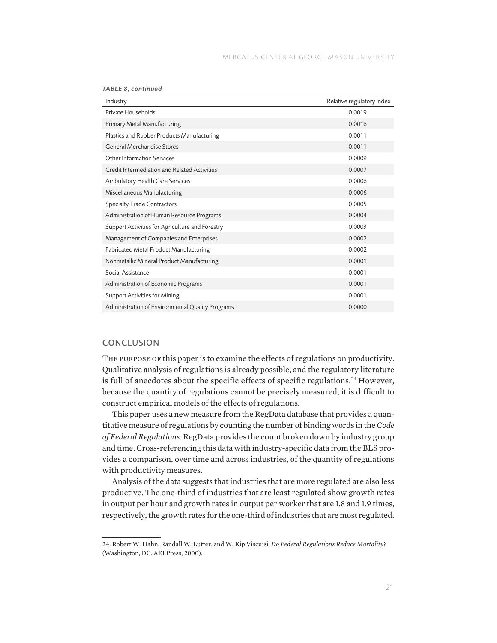| Industry                                         | Relative regulatory index |
|--------------------------------------------------|---------------------------|
| Private Households                               | 0.0019                    |
| Primary Metal Manufacturing                      | 0.0016                    |
| Plastics and Rubber Products Manufacturing       | 0.0011                    |
| General Merchandise Stores                       | 0.0011                    |
| <b>Other Information Services</b>                | 0.0009                    |
| Credit Intermediation and Related Activities     | 0.0007                    |
| Ambulatory Health Care Services                  | 0.0006                    |
| Miscellaneous Manufacturing                      | 0.0006                    |
| Specialty Trade Contractors                      | 0.0005                    |
| Administration of Human Resource Programs        | 0.0004                    |
| Support Activities for Agriculture and Forestry  | 0.0003                    |
| Management of Companies and Enterprises          | 0.0002                    |
| Fabricated Metal Product Manufacturing           | 0.0002                    |
| Nonmetallic Mineral Product Manufacturing        | 0.0001                    |
| Social Assistance                                | 0.0001                    |
| Administration of Economic Programs              | 0.0001                    |
| <b>Support Activities for Mining</b>             | 0.0001                    |
| Administration of Environmental Quality Programs | 0.0000                    |

*TABLE 8, continued*

#### **CONCLUSION**

The purpose of this paper is to examine the effects of regulations on productivity. Qualitative analysis of regulations is already possible, and the regulatory literature is full of anecdotes about the specific effects of specific regulations.<sup>24</sup> However, because the quantity of regulations cannot be precisely measured, it is difficult to construct empirical models of the effects of regulations.

This paper uses a new measure from the RegData database that provides a quantitative measure of regulations by counting the number of binding words in the *Code of Federal Regulations*. RegData provides the count broken down by industry group and time. Cross-referencing this data with industry-specific data from the BLS provides a comparison, over time and across industries, of the quantity of regulations with productivity measures.

Analysis of the data suggests that industries that are more regulated are also less productive. The one-third of industries that are least regulated show growth rates in output per hour and growth rates in output per worker that are 1.8 and 1.9 times, respectively, the growth rates for the one-third of industries that are most regulated.

<sup>24.</sup> Robert W. Hahn, Randall W. Lutter, and W. Kip Viscuisi, *Do Federal Regulations Reduce Mortality?* (Washington, DC: AEI Press, 2000).